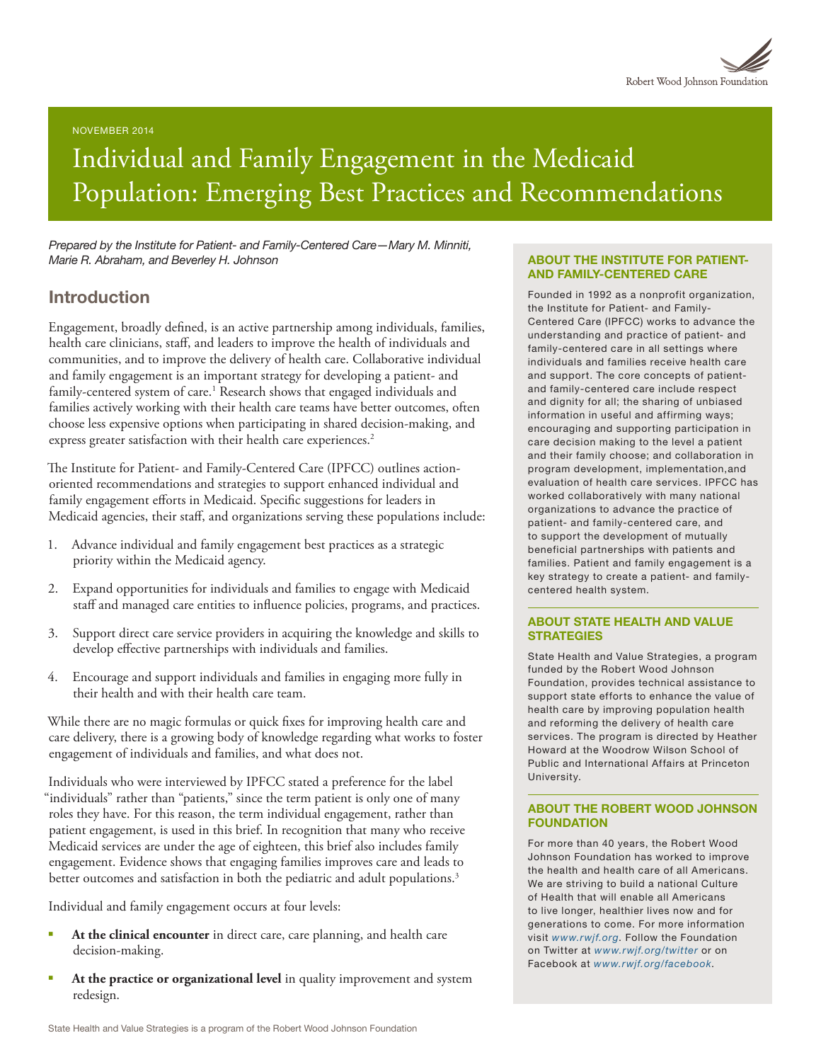

NOVEMBER 2014

# Individual and Family Engagement in the Medicaid Population: Emerging Best Practices and Recommendations

*Prepared by the Institute for Patient- and Family-Centered Care—Mary M. Minniti, Marie R. Abraham, and Beverley H. Johnson*

## Introduction

Engagement, broadly defined, is an active partnership among individuals, families, health care clinicians, staff, and leaders to improve the health of individuals and communities, and to improve the delivery of health care. Collaborative individual and family engagement is an important strategy for developing a patient- and family-centered system of care.<sup>1</sup> Research shows that engaged individuals and families actively working with their health care teams have better outcomes, often choose less expensive options when participating in shared decision-making, and express greater satisfaction with their health care experiences.<sup>2</sup>

The Institute for Patient- and Family-Centered Care (IPFCC) outlines actionoriented recommendations and strategies to support enhanced individual and family engagement efforts in Medicaid. Specific suggestions for leaders in Medicaid agencies, their staff, and organizations serving these populations include:

- 1. Advance individual and family engagement best practices as a strategic priority within the Medicaid agency.
- 2. Expand opportunities for individuals and families to engage with Medicaid staff and managed care entities to influence policies, programs, and practices.
- 3. Support direct care service providers in acquiring the knowledge and skills to develop effective partnerships with individuals and families.
- 4. Encourage and support individuals and families in engaging more fully in their health and with their health care team.

While there are no magic formulas or quick fixes for improving health care and care delivery, there is a growing body of knowledge regarding what works to foster engagement of individuals and families, and what does not.

Individuals who were interviewed by IPFCC stated a preference for the label "individuals" rather than "patients," since the term patient is only one of many roles they have. For this reason, the term individual engagement, rather than patient engagement, is used in this brief. In recognition that many who receive Medicaid services are under the age of eighteen, this brief also includes family engagement. Evidence shows that engaging families improves care and leads to better outcomes and satisfaction in both the pediatric and adult populations.<sup>3</sup>

Individual and family engagement occurs at four levels:

- At the clinical encounter in direct care, care planning, and health care decision-making.
- At the practice or organizational level in quality improvement and system redesign.

#### ABOUT THE INSTITUTE FOR PATIENT-AND FAMILY-CENTERED CARE

Founded in 1992 as a nonprofit organization, the Institute for Patient- and Family-Centered Care (IPFCC) works to advance the understanding and practice of patient- and family-centered care in all settings where individuals and families receive health care and support. The core concepts of patientand family-centered care include respect and dignity for all; the sharing of unbiased information in useful and affirming ways; encouraging and supporting participation in care decision making to the level a patient and their family choose; and collaboration in program development, implementation,and evaluation of health care services. IPFCC has worked collaboratively with many national organizations to advance the practice of patient- and family-centered care, and to support the development of mutually beneficial partnerships with patients and families. Patient and family engagement is a key strategy to create a patient- and familycentered health system.

#### ABOUT STATE HEALTH AND VALUE **STRATEGIES**

State Health and Value Strategies, a program funded by the Robert Wood Johnson Foundation, provides technical assistance to support state efforts to enhance the value of health care by improving population health and reforming the delivery of health care services. The program is directed by Heather Howard at the Woodrow Wilson School of Public and International Affairs at Princeton University.

#### ABOUT THE ROBERT WOOD JOHNSON **FOUNDATION**

For more than 40 years, the Robert Wood Johnson Foundation has worked to improve the health and health care of all Americans. We are striving to build a national Culture of Health that will enable all Americans to live longer, healthier lives now and for generations to come. For more information visit *[www.rwjf.org](http://www.rwjf.org/)*. Follow the Foundation on Twitter at *[www.rwjf.org/twitter](http://www.rwjf.org/twitter)* or on Facebook at *[www.rwjf.org/facebook](http://www.rwjf.org/facebook)*.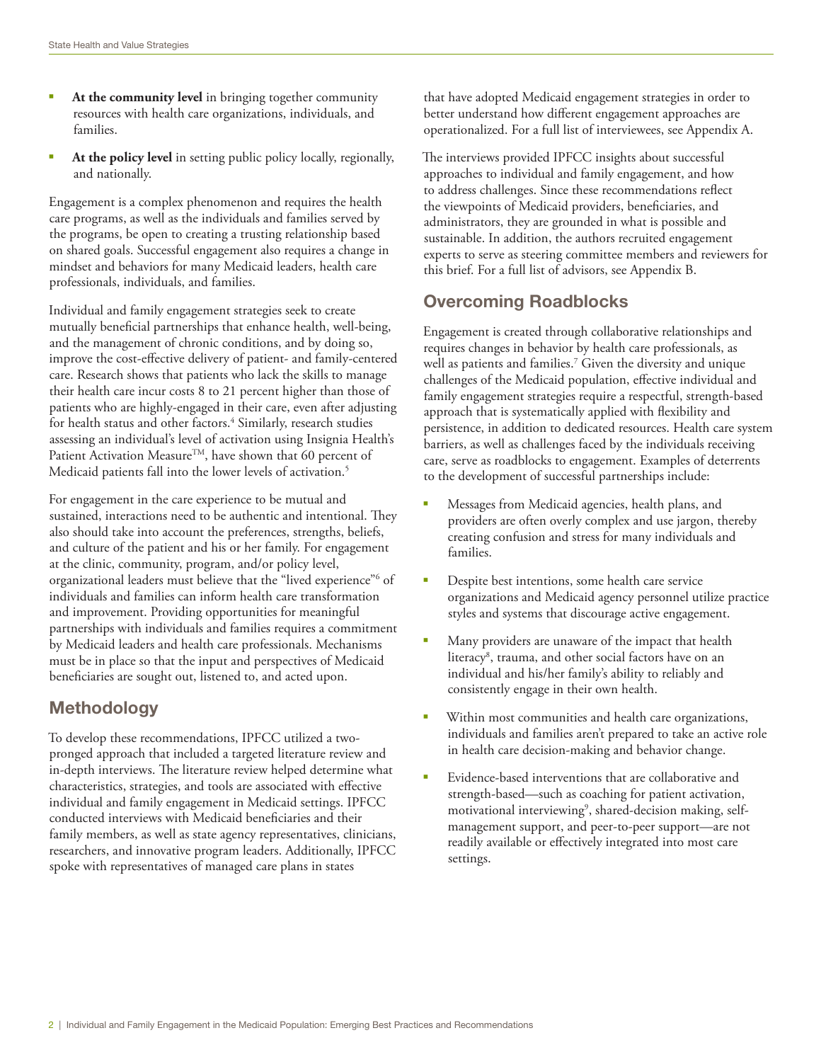- At the community level in bringing together community resources with health care organizations, individuals, and families.
- § **At the policy level** in setting public policy locally, regionally, and nationally.

Engagement is a complex phenomenon and requires the health care programs, as well as the individuals and families served by the programs, be open to creating a trusting relationship based on shared goals. Successful engagement also requires a change in mindset and behaviors for many Medicaid leaders, health care professionals, individuals, and families.

Individual and family engagement strategies seek to create mutually beneficial partnerships that enhance health, well-being, and the management of chronic conditions, and by doing so, improve the cost-effective delivery of patient- and family-centered care. Research shows that patients who lack the skills to manage their health care incur costs 8 to 21 percent higher than those of patients who are highly-engaged in their care, even after adjusting for health status and other factors.<sup>4</sup> Similarly, research studies assessing an individual's level of activation using Insignia Health's Patient Activation Measure<sup>TM</sup>, have shown that 60 percent of Medicaid patients fall into the lower levels of activation.<sup>5</sup>

For engagement in the care experience to be mutual and sustained, interactions need to be authentic and intentional. They also should take into account the preferences, strengths, beliefs, and culture of the patient and his or her family. For engagement at the clinic, community, program, and/or policy level, organizational leaders must believe that the "lived experience"<sup>6</sup> of individuals and families can inform health care transformation and improvement. Providing opportunities for meaningful partnerships with individuals and families requires a commitment by Medicaid leaders and health care professionals. Mechanisms must be in place so that the input and perspectives of Medicaid beneficiaries are sought out, listened to, and acted upon.

## **Methodology**

To develop these recommendations, IPFCC utilized a twopronged approach that included a targeted literature review and in-depth interviews. The literature review helped determine what characteristics, strategies, and tools are associated with effective individual and family engagement in Medicaid settings. IPFCC conducted interviews with Medicaid beneficiaries and their family members, as well as state agency representatives, clinicians, researchers, and innovative program leaders. Additionally, IPFCC spoke with representatives of managed care plans in states

that have adopted Medicaid engagement strategies in order to better understand how different engagement approaches are operationalized. For a full list of interviewees, see Appendix A.

The interviews provided IPFCC insights about successful approaches to individual and family engagement, and how to address challenges. Since these recommendations reflect the viewpoints of Medicaid providers, beneficiaries, and administrators, they are grounded in what is possible and sustainable. In addition, the authors recruited engagement experts to serve as steering committee members and reviewers for this brief. For a full list of advisors, see Appendix B.

# Overcoming Roadblocks

Engagement is created through collaborative relationships and requires changes in behavior by health care professionals, as well as patients and families.7 Given the diversity and unique challenges of the Medicaid population, effective individual and family engagement strategies require a respectful, strength-based approach that is systematically applied with flexibility and persistence, in addition to dedicated resources. Health care system barriers, as well as challenges faced by the individuals receiving care, serve as roadblocks to engagement. Examples of deterrents to the development of successful partnerships include:

- § Messages from Medicaid agencies, health plans, and providers are often overly complex and use jargon, thereby creating confusion and stress for many individuals and families.
- Despite best intentions, some health care service organizations and Medicaid agency personnel utilize practice styles and systems that discourage active engagement.
- Many providers are unaware of the impact that health literacy8 , trauma, and other social factors have on an individual and his/her family's ability to reliably and consistently engage in their own health.
- Within most communities and health care organizations, individuals and families aren't prepared to take an active role in health care decision-making and behavior change.
- Evidence-based interventions that are collaborative and strength-based—such as coaching for patient activation, motivational interviewing<sup>9</sup>, shared-decision making, selfmanagement support, and peer-to-peer support—are not readily available or effectively integrated into most care settings.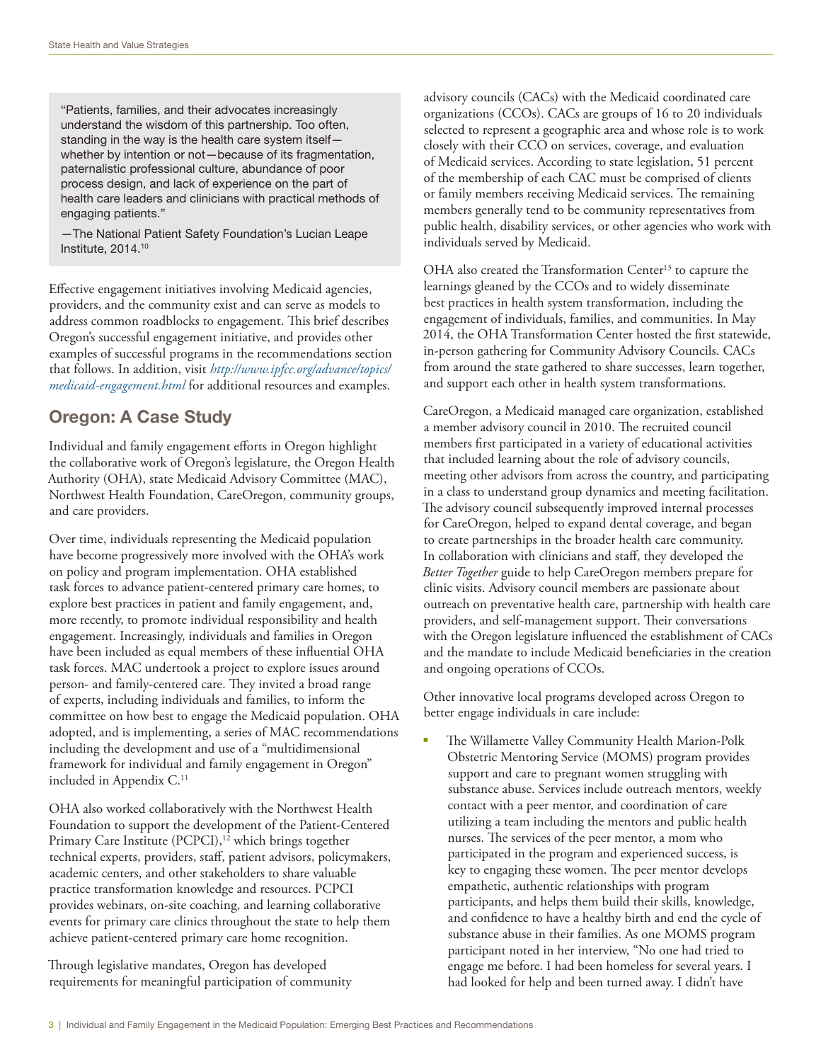"Patients, families, and their advocates increasingly understand the wisdom of this partnership. Too often, standing in the way is the health care system itself whether by intention or not—because of its fragmentation, paternalistic professional culture, abundance of poor process design, and lack of experience on the part of health care leaders and clinicians with practical methods of engaging patients."

—The National Patient Safety Foundation's Lucian Leape Institute, 2014.10

Effective engagement initiatives involving Medicaid agencies, providers, and the community exist and can serve as models to address common roadblocks to engagement. This brief describes Oregon's successful engagement initiative, and provides other examples of successful programs in the recommendations section that follows. In addition, visit *[http://www.ipfcc.org/advance/topics/](http://www.ipfcc.org/advance/topics/medicaid-engagement.html) [medicaid-engagement.html](http://www.ipfcc.org/advance/topics/medicaid-engagement.html)* for additional resources and examples.

# Oregon: A Case Study

Individual and family engagement efforts in Oregon highlight the collaborative work of Oregon's legislature, the Oregon Health Authority (OHA), state Medicaid Advisory Committee (MAC), Northwest Health Foundation, CareOregon, community groups, and care providers.

Over time, individuals representing the Medicaid population have become progressively more involved with the OHA's work on policy and program implementation. OHA established task forces to advance patient-centered primary care homes, to explore best practices in patient and family engagement, and, more recently, to promote individual responsibility and health engagement. Increasingly, individuals and families in Oregon have been included as equal members of these influential OHA task forces. MAC undertook a project to explore issues around person- and family-centered care. They invited a broad range of experts, including individuals and families, to inform the committee on how best to engage the Medicaid population. OHA adopted, and is implementing, a series of MAC recommendations including the development and use of a "multidimensional framework for individual and family engagement in Oregon" included in Appendix C.<sup>11</sup>

OHA also worked collaboratively with the Northwest Health Foundation to support the development of the Patient-Centered Primary Care Institute (PCPCI),<sup>12</sup> which brings together technical experts, providers, staff, patient advisors, policymakers, academic centers, and other stakeholders to share valuable practice transformation knowledge and resources. PCPCI provides webinars, on-site coaching, and learning collaborative events for primary care clinics throughout the state to help them achieve patient-centered primary care home recognition.

Through legislative mandates, Oregon has developed requirements for meaningful participation of community advisory councils (CACs) with the Medicaid coordinated care organizations (CCOs). CACs are groups of 16 to 20 individuals selected to represent a geographic area and whose role is to work closely with their CCO on services, coverage, and evaluation of Medicaid services. According to state legislation, 51 percent of the membership of each CAC must be comprised of clients or family members receiving Medicaid services. The remaining members generally tend to be community representatives from public health, disability services, or other agencies who work with individuals served by Medicaid.

OHA also created the Transformation Center<sup>13</sup> to capture the learnings gleaned by the CCOs and to widely disseminate best practices in health system transformation, including the engagement of individuals, families, and communities. In May 2014, the OHA Transformation Center hosted the first statewide, in-person gathering for Community Advisory Councils. CACs from around the state gathered to share successes, learn together, and support each other in health system transformations.

CareOregon, a Medicaid managed care organization, established a member advisory council in 2010. The recruited council members first participated in a variety of educational activities that included learning about the role of advisory councils, meeting other advisors from across the country, and participating in a class to understand group dynamics and meeting facilitation. The advisory council subsequently improved internal processes for CareOregon, helped to expand dental coverage, and began to create partnerships in the broader health care community. In collaboration with clinicians and staff, they developed the *Better Together* guide to help CareOregon members prepare for clinic visits. Advisory council members are passionate about outreach on preventative health care, partnership with health care providers, and self-management support. Their conversations with the Oregon legislature influenced the establishment of CACs and the mandate to include Medicaid beneficiaries in the creation and ongoing operations of CCOs.

Other innovative local programs developed across Oregon to better engage individuals in care include:

The Willamette Valley Community Health Marion-Polk Obstetric Mentoring Service (MOMS) program provides support and care to pregnant women struggling with substance abuse. Services include outreach mentors, weekly contact with a peer mentor, and coordination of care utilizing a team including the mentors and public health nurses. The services of the peer mentor, a mom who participated in the program and experienced success, is key to engaging these women. The peer mentor develops empathetic, authentic relationships with program participants, and helps them build their skills, knowledge, and confidence to have a healthy birth and end the cycle of substance abuse in their families. As one MOMS program participant noted in her interview, "No one had tried to engage me before. I had been homeless for several years. I had looked for help and been turned away. I didn't have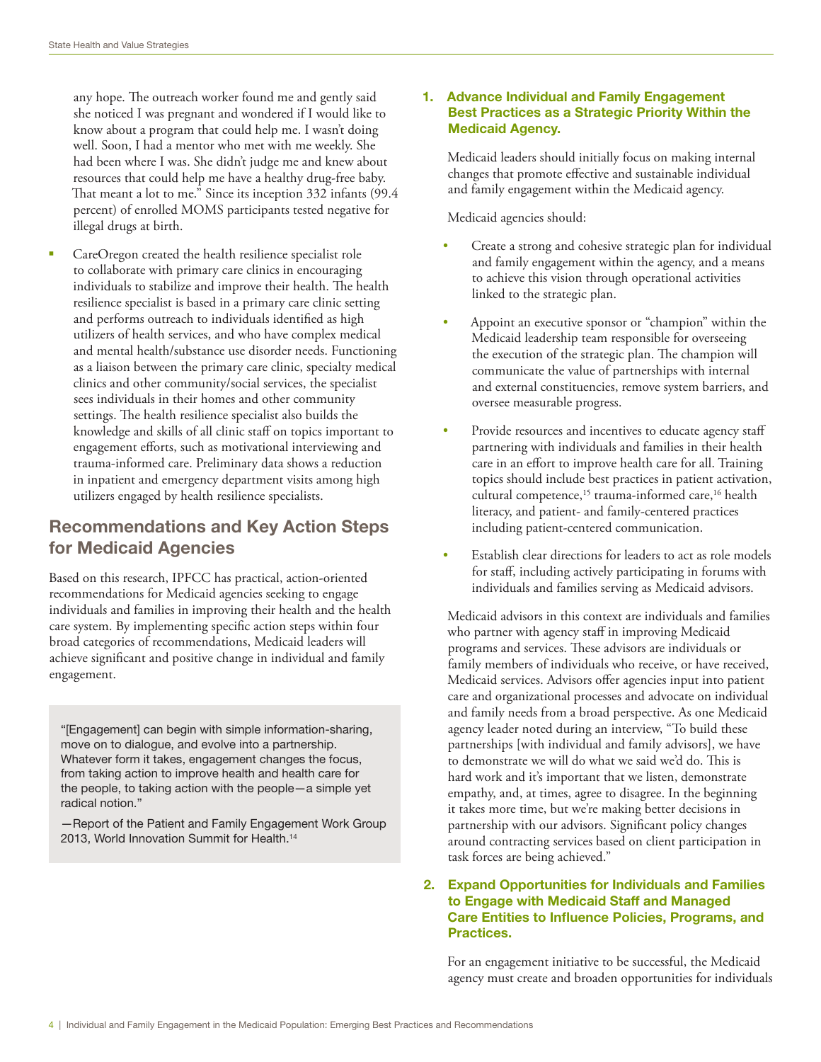any hope. The outreach worker found me and gently said she noticed I was pregnant and wondered if I would like to know about a program that could help me. I wasn't doing well. Soon, I had a mentor who met with me weekly. She had been where I was. She didn't judge me and knew about resources that could help me have a healthy drug-free baby. That meant a lot to me." Since its inception 332 infants (99.4 percent) of enrolled MOMS participants tested negative for illegal drugs at birth.

CareOregon created the health resilience specialist role to collaborate with primary care clinics in encouraging individuals to stabilize and improve their health. The health resilience specialist is based in a primary care clinic setting and performs outreach to individuals identified as high utilizers of health services, and who have complex medical and mental health/substance use disorder needs. Functioning as a liaison between the primary care clinic, specialty medical clinics and other community/social services, the specialist sees individuals in their homes and other community settings. The health resilience specialist also builds the knowledge and skills of all clinic staff on topics important to engagement efforts, such as motivational interviewing and trauma-informed care. Preliminary data shows a reduction in inpatient and emergency department visits among high utilizers engaged by health resilience specialists.

# Recommendations and Key Action Steps for Medicaid Agencies

Based on this research, IPFCC has practical, action-oriented recommendations for Medicaid agencies seeking to engage individuals and families in improving their health and the health care system. By implementing specific action steps within four broad categories of recommendations, Medicaid leaders will achieve significant and positive change in individual and family engagement.

"[Engagement] can begin with simple information-sharing, move on to dialogue, and evolve into a partnership. Whatever form it takes, engagement changes the focus, from taking action to improve health and health care for the people, to taking action with the people—a simple yet radical notion."

—Report of the Patient and Family Engagement Work Group 2013, World Innovation Summit for Health.14

#### 1. Advance Individual and Family Engagement Best Practices as a Strategic Priority Within the Medicaid Agency.

Medicaid leaders should initially focus on making internal changes that promote effective and sustainable individual and family engagement within the Medicaid agency.

Medicaid agencies should:

- Create a strong and cohesive strategic plan for individual and family engagement within the agency, and a means to achieve this vision through operational activities linked to the strategic plan.
- Appoint an executive sponsor or "champion" within the Medicaid leadership team responsible for overseeing the execution of the strategic plan. The champion will communicate the value of partnerships with internal and external constituencies, remove system barriers, and oversee measurable progress.
- Provide resources and incentives to educate agency staff partnering with individuals and families in their health care in an effort to improve health care for all. Training topics should include best practices in patient activation, cultural competence,<sup>15</sup> trauma-informed care,<sup>16</sup> health literacy, and patient- and family-centered practices including patient-centered communication.
- Establish clear directions for leaders to act as role models for staff, including actively participating in forums with individuals and families serving as Medicaid advisors.

Medicaid advisors in this context are individuals and families who partner with agency staff in improving Medicaid programs and services. These advisors are individuals or family members of individuals who receive, or have received, Medicaid services. Advisors offer agencies input into patient care and organizational processes and advocate on individual and family needs from a broad perspective. As one Medicaid agency leader noted during an interview, "To build these partnerships [with individual and family advisors], we have to demonstrate we will do what we said we'd do. This is hard work and it's important that we listen, demonstrate empathy, and, at times, agree to disagree. In the beginning it takes more time, but we're making better decisions in partnership with our advisors. Significant policy changes around contracting services based on client participation in task forces are being achieved."

### 2. Expand Opportunities for Individuals and Families to Engage with Medicaid Staff and Managed Care Entities to Influence Policies, Programs, and Practices.

For an engagement initiative to be successful, the Medicaid agency must create and broaden opportunities for individuals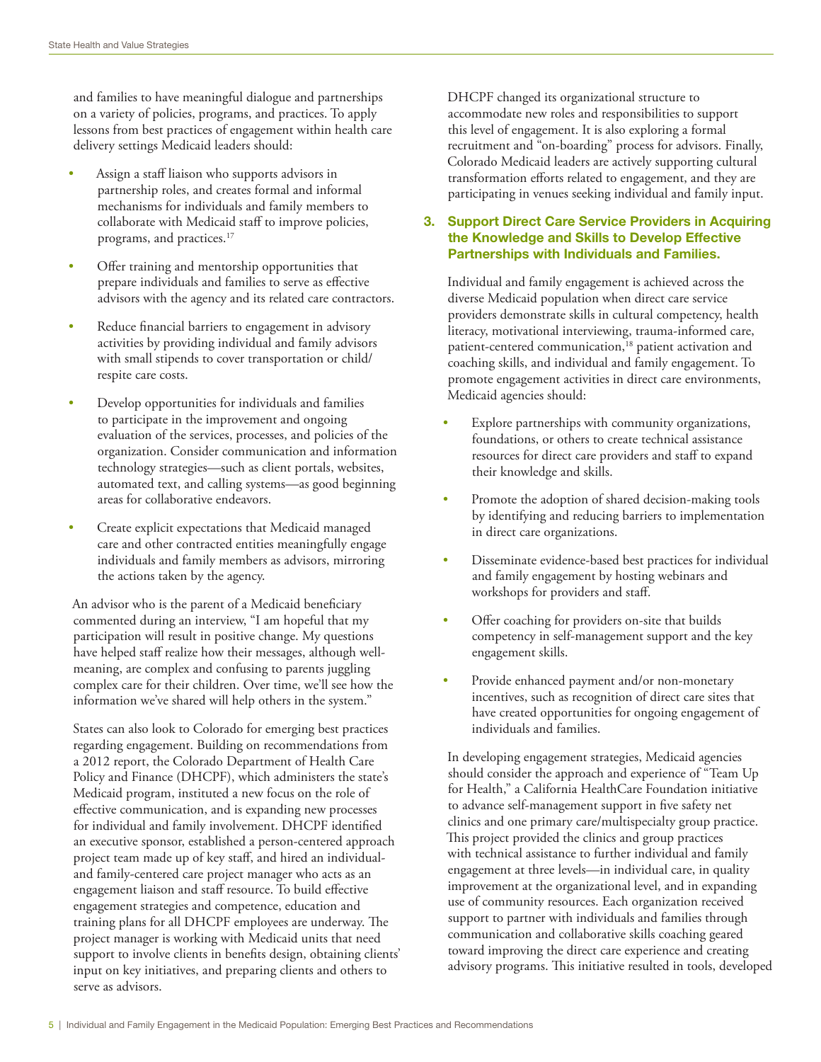and families to have meaningful dialogue and partnerships on a variety of policies, programs, and practices. To apply lessons from best practices of engagement within health care delivery settings Medicaid leaders should:

- Assign a staff liaison who supports advisors in partnership roles, and creates formal and informal mechanisms for individuals and family members to collaborate with Medicaid staff to improve policies, programs, and practices.17
- Offer training and mentorship opportunities that prepare individuals and families to serve as effective advisors with the agency and its related care contractors.
- Reduce financial barriers to engagement in advisory activities by providing individual and family advisors with small stipends to cover transportation or child/ respite care costs.
- Develop opportunities for individuals and families to participate in the improvement and ongoing evaluation of the services, processes, and policies of the organization. Consider communication and information technology strategies—such as client portals, websites, automated text, and calling systems—as good beginning areas for collaborative endeavors.
- Create explicit expectations that Medicaid managed care and other contracted entities meaningfully engage individuals and family members as advisors, mirroring the actions taken by the agency.

An advisor who is the parent of a Medicaid beneficiary commented during an interview, "I am hopeful that my participation will result in positive change. My questions have helped staff realize how their messages, although wellmeaning, are complex and confusing to parents juggling complex care for their children. Over time, we'll see how the information we've shared will help others in the system."

States can also look to Colorado for emerging best practices regarding engagement. Building on recommendations from a 2012 report, the Colorado Department of Health Care Policy and Finance (DHCPF), which administers the state's Medicaid program, instituted a new focus on the role of effective communication, and is expanding new processes for individual and family involvement. DHCPF identified an executive sponsor, established a person-centered approach project team made up of key staff, and hired an individualand family-centered care project manager who acts as an engagement liaison and staff resource. To build effective engagement strategies and competence, education and training plans for all DHCPF employees are underway. The project manager is working with Medicaid units that need support to involve clients in benefits design, obtaining clients' input on key initiatives, and preparing clients and others to serve as advisors.

DHCPF changed its organizational structure to accommodate new roles and responsibilities to support this level of engagement. It is also exploring a formal recruitment and "on-boarding" process for advisors. Finally, Colorado Medicaid leaders are actively supporting cultural transformation efforts related to engagement, and they are participating in venues seeking individual and family input.

## 3. Support Direct Care Service Providers in Acquiring the Knowledge and Skills to Develop Effective Partnerships with Individuals and Families.

Individual and family engagement is achieved across the diverse Medicaid population when direct care service providers demonstrate skills in cultural competency, health literacy, motivational interviewing, trauma-informed care, patient-centered communication,<sup>18</sup> patient activation and coaching skills, and individual and family engagement. To promote engagement activities in direct care environments, Medicaid agencies should:

- Explore partnerships with community organizations, foundations, or others to create technical assistance resources for direct care providers and staff to expand their knowledge and skills.
- Promote the adoption of shared decision-making tools by identifying and reducing barriers to implementation in direct care organizations.
- Disseminate evidence-based best practices for individual and family engagement by hosting webinars and workshops for providers and staff.
- Offer coaching for providers on-site that builds competency in self-management support and the key engagement skills.
- Provide enhanced payment and/or non-monetary incentives, such as recognition of direct care sites that have created opportunities for ongoing engagement of individuals and families.

In developing engagement strategies, Medicaid agencies should consider the approach and experience of "Team Up for Health," a California HealthCare Foundation initiative to advance self-management support in five safety net clinics and one primary care/multispecialty group practice. This project provided the clinics and group practices with technical assistance to further individual and family engagement at three levels—in individual care, in quality improvement at the organizational level, and in expanding use of community resources. Each organization received support to partner with individuals and families through communication and collaborative skills coaching geared toward improving the direct care experience and creating advisory programs. This initiative resulted in tools, developed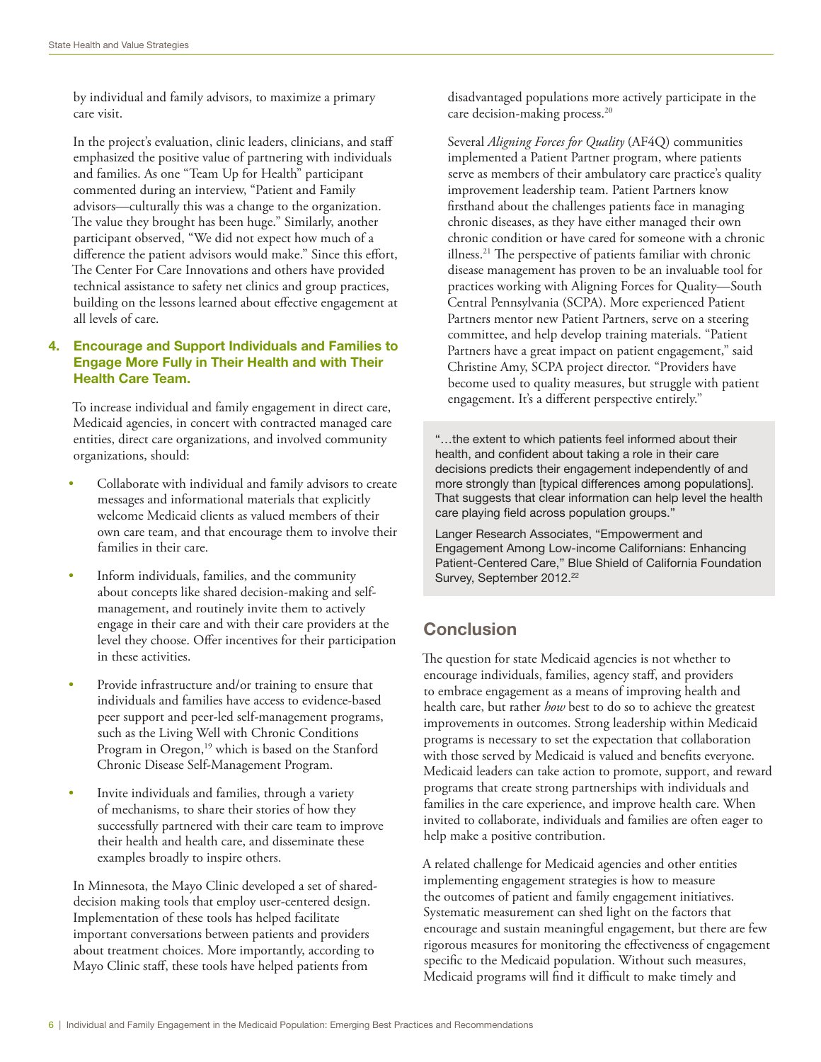by individual and family advisors, to maximize a primary care visit.

In the project's evaluation, clinic leaders, clinicians, and staff emphasized the positive value of partnering with individuals and families. As one "Team Up for Health" participant commented during an interview, "Patient and Family advisors—culturally this was a change to the organization. The value they brought has been huge." Similarly, another participant observed, "We did not expect how much of a difference the patient advisors would make." Since this effort, The Center For Care Innovations and others have provided technical assistance to safety net clinics and group practices, building on the lessons learned about effective engagement at all levels of care.

#### 4. Encourage and Support Individuals and Families to Engage More Fully in Their Health and with Their Health Care Team.

To increase individual and family engagement in direct care, Medicaid agencies, in concert with contracted managed care entities, direct care organizations, and involved community organizations, should:

- Collaborate with individual and family advisors to create messages and informational materials that explicitly welcome Medicaid clients as valued members of their own care team, and that encourage them to involve their families in their care.
- Inform individuals, families, and the community about concepts like shared decision-making and selfmanagement, and routinely invite them to actively engage in their care and with their care providers at the level they choose. Offer incentives for their participation in these activities.
- Provide infrastructure and/or training to ensure that individuals and families have access to evidence-based peer support and peer-led self-management programs, such as the Living Well with Chronic Conditions Program in Oregon,<sup>19</sup> which is based on the Stanford Chronic Disease Self-Management Program.
- Invite individuals and families, through a variety of mechanisms, to share their stories of how they successfully partnered with their care team to improve their health and health care, and disseminate these examples broadly to inspire others.

In Minnesota, the Mayo Clinic developed a set of shareddecision making tools that employ user-centered design. Implementation of these tools has helped facilitate important conversations between patients and providers about treatment choices. More importantly, according to Mayo Clinic staff, these tools have helped patients from

disadvantaged populations more actively participate in the care decision-making process.<sup>20</sup>

Several *Aligning Forces for Quality* (AF4Q) communities implemented a Patient Partner program, where patients serve as members of their ambulatory care practice's quality improvement leadership team. Patient Partners know firsthand about the challenges patients face in managing chronic diseases, as they have either managed their own chronic condition or have cared for someone with a chronic illness.21 The perspective of patients familiar with chronic disease management has proven to be an invaluable tool for practices working with Aligning Forces for Quality—South Central Pennsylvania (SCPA). More experienced Patient Partners mentor new Patient Partners, serve on a steering committee, and help develop training materials. "Patient Partners have a great impact on patient engagement," said Christine Amy, SCPA project director. "Providers have become used to quality measures, but struggle with patient engagement. It's a different perspective entirely."

"…the extent to which patients feel informed about their health, and confident about taking a role in their care decisions predicts their engagement independently of and more strongly than [typical differences among populations]. That suggests that clear information can help level the health care playing field across population groups."

Langer Research Associates, "Empowerment and Engagement Among Low-income Californians: Enhancing Patient-Centered Care," Blue Shield of California Foundation Survey, September 2012.<sup>22</sup>

## **Conclusion**

The question for state Medicaid agencies is not whether to encourage individuals, families, agency staff, and providers to embrace engagement as a means of improving health and health care, but rather *how* best to do so to achieve the greatest improvements in outcomes. Strong leadership within Medicaid programs is necessary to set the expectation that collaboration with those served by Medicaid is valued and benefits everyone. Medicaid leaders can take action to promote, support, and reward programs that create strong partnerships with individuals and families in the care experience, and improve health care. When invited to collaborate, individuals and families are often eager to help make a positive contribution.

A related challenge for Medicaid agencies and other entities implementing engagement strategies is how to measure the outcomes of patient and family engagement initiatives. Systematic measurement can shed light on the factors that encourage and sustain meaningful engagement, but there are few rigorous measures for monitoring the effectiveness of engagement specific to the Medicaid population. Without such measures, Medicaid programs will find it difficult to make timely and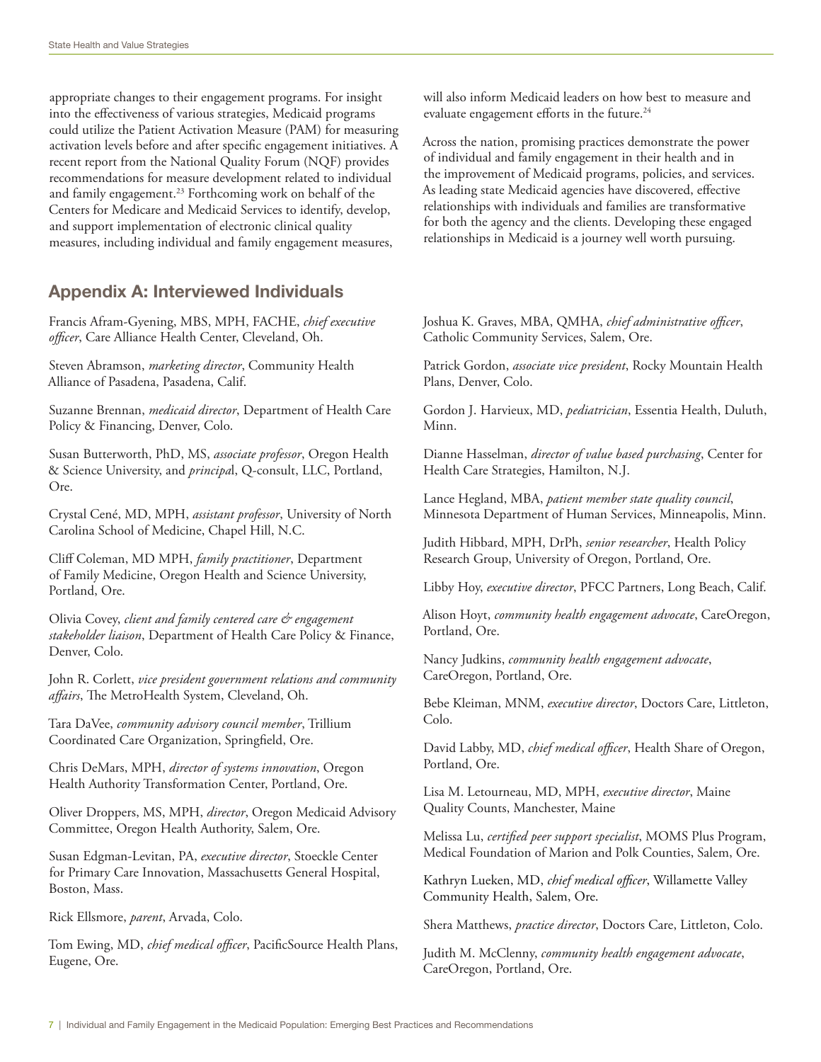appropriate changes to their engagement programs. For insight into the effectiveness of various strategies, Medicaid programs could utilize the Patient Activation Measure (PAM) for measuring activation levels before and after specific engagement initiatives. A recent report from the National Quality Forum (NQF) provides recommendations for measure development related to individual and family engagement.<sup>23</sup> Forthcoming work on behalf of the Centers for Medicare and Medicaid Services to identify, develop, and support implementation of electronic clinical quality measures, including individual and family engagement measures,

## Appendix A: Interviewed Individuals

Francis Afram-Gyening, MBS, MPH, FACHE, *chief executive officer*, Care Alliance Health Center, Cleveland, Oh.

Steven Abramson, *marketing director*, Community Health Alliance of Pasadena, Pasadena, Calif.

Suzanne Brennan, *medicaid director*, Department of Health Care Policy & Financing, Denver, Colo.

Susan Butterworth, PhD, MS, *associate professor*, Oregon Health & Science University, and *principa*l, Q-consult, LLC, Portland, Ore.

Crystal Cené, MD, MPH, *assistant professor*, University of North Carolina School of Medicine, Chapel Hill, N.C.

Cliff Coleman, MD MPH, *family practitioner*, Department of Family Medicine, Oregon Health and Science University, Portland, Ore.

Olivia Covey, *client and family centered care & engagement stakeholder liaison*, Department of Health Care Policy & Finance, Denver, Colo.

John R. Corlett, *vice president government relations and community affairs*, The MetroHealth System, Cleveland, Oh.

Tara DaVee, *community advisory council member*, Trillium Coordinated Care Organization, Springfield, Ore.

Chris DeMars, MPH, *director of systems innovation*, Oregon Health Authority Transformation Center, Portland, Ore.

Oliver Droppers, MS, MPH, *director*, Oregon Medicaid Advisory Committee, Oregon Health Authority, Salem, Ore.

Susan Edgman-Levitan, PA, *executive director*, Stoeckle Center for Primary Care Innovation, Massachusetts General Hospital, Boston, Mass.

Rick Ellsmore, *parent*, Arvada, Colo.

Tom Ewing, MD, *chief medical officer*, PacificSource Health Plans, Eugene, Ore.

will also inform Medicaid leaders on how best to measure and evaluate engagement efforts in the future.<sup>24</sup>

Across the nation, promising practices demonstrate the power of individual and family engagement in their health and in the improvement of Medicaid programs, policies, and services. As leading state Medicaid agencies have discovered, effective relationships with individuals and families are transformative for both the agency and the clients. Developing these engaged relationships in Medicaid is a journey well worth pursuing.

Joshua K. Graves, MBA, QMHA, *chief administrative officer*, Catholic Community Services, Salem, Ore.

Patrick Gordon, *associate vice president*, Rocky Mountain Health Plans, Denver, Colo.

Gordon J. Harvieux, MD, *pediatrician*, Essentia Health, Duluth, Minn.

Dianne Hasselman, *director of value based purchasing*, Center for Health Care Strategies, Hamilton, N.J.

Lance Hegland, MBA, *patient member state quality council*, [Minnesota Department of Human Services,](http://www.linkedin.com/company/1098868?trk=prof-0-ovw-curr_pos) Minneapolis, Minn.

Judith Hibbard, MPH, DrPh, *senior researcher*, Health Policy Research Group, University of Oregon, Portland, Ore.

Libby Hoy, *executive director*, PFCC Partners, Long Beach, Calif.

Alison Hoyt, *community health engagement advocate*, CareOregon, Portland, Ore.

Nancy Judkins, *community health engagement advocate*, CareOregon, Portland, Ore.

Bebe Kleiman, MNM, *executive director*, Doctors Care, Littleton, Colo.

David Labby, MD, *chief medical officer*, Health Share of Oregon, Portland, Ore.

Lisa M. Letourneau, MD, MPH, *executive director*, Maine Quality Counts, Manchester, Maine

Melissa Lu, *certified peer support specialist*, MOMS Plus Program, Medical Foundation of Marion and Polk Counties, Salem, Ore.

Kathryn Lueken, MD, *chief medical officer*, Willamette Valley Community Health, Salem, Ore.

Shera Matthews, *practice director*, Doctors Care, Littleton, Colo.

Judith M. McClenny, *community health engagement advocate*, CareOregon, Portland, Ore.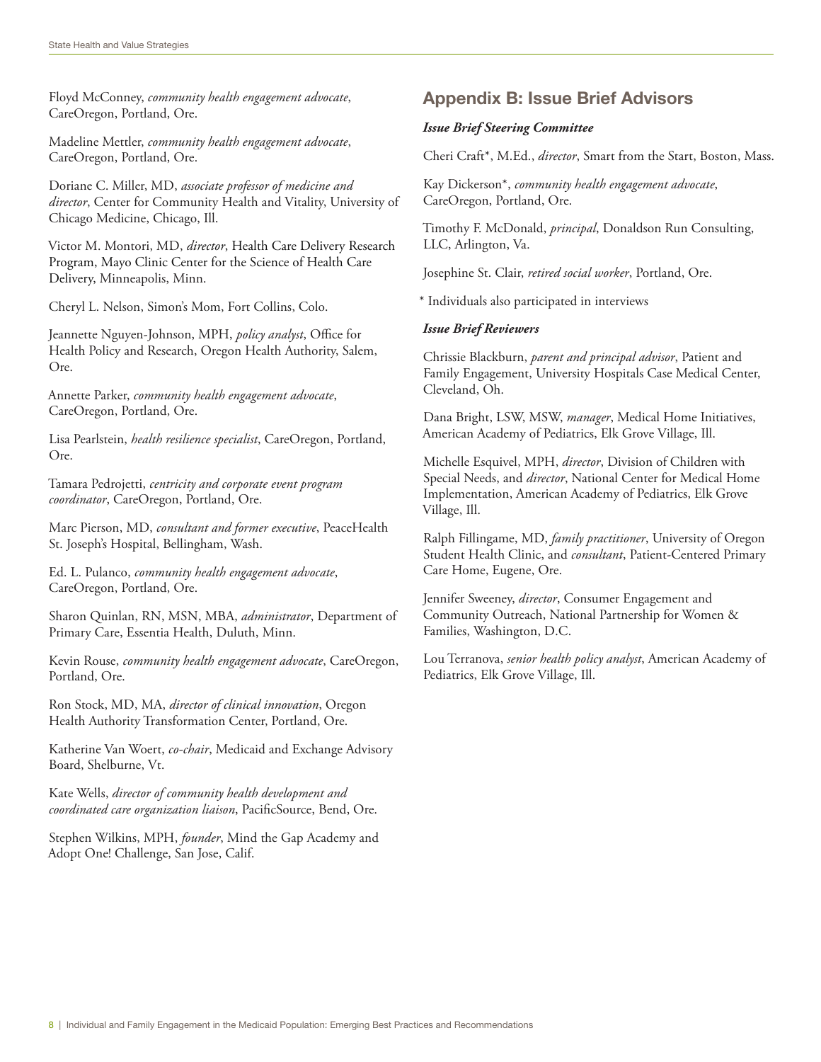Floyd McConney, *community health engagement advocate*, CareOregon, Portland, Ore.

Madeline Mettler, *community health engagement advocate*, CareOregon, Portland, Ore.

Doriane C. Miller, MD, *associate professor of medicine and director*, Center for Community Health and Vitality, University of Chicago Medicine, Chicago, Ill.

Victor M. Montori, MD, *director*, Health Care Delivery Research Program, Mayo Clinic Center for the Science of Health Care Delivery, Minneapolis, Minn.

Cheryl L. Nelson, Simon's Mom, Fort Collins, Colo.

Jeannette Nguyen-Johnson, MPH, *policy analyst*, Office for Health Policy and Research, Oregon Health Authority, Salem, Ore.

Annette Parker, *community health engagement advocate*, CareOregon, Portland, Ore.

Lisa Pearlstein, *health resilience specialist*, CareOregon, Portland, Ore.

Tamara Pedrojetti, *centricity and corporate event program coordinator*, CareOregon, Portland, Ore.

Marc Pierson, MD, *consultant and former executive*, PeaceHealth St. Joseph's Hospital, Bellingham, Wash.

Ed. L. Pulanco, *community health engagement advocate*, CareOregon, Portland, Ore.

Sharon Quinlan, RN, MSN, MBA, *administrator*, Department of Primary Care, Essentia Health, Duluth, Minn.

Kevin Rouse, *community health engagement advocate*, CareOregon, Portland, Ore.

Ron Stock, MD, MA, *director of clinical innovation*, Oregon Health Authority Transformation Center, Portland, Ore.

Katherine Van Woert, *co-chair*, Medicaid and Exchange Advisory Board, Shelburne, Vt.

Kate Wells, *director of community health development and coordinated care organization liaison*, PacificSource, Bend, Ore.

Stephen Wilkins, MPH, *founder*, Mind the Gap Academy and Adopt One! Challenge, San Jose, Calif.

## Appendix B: Issue Brief Advisors

#### *Issue Brief Steering Committee*

Cheri Craft\*, M.Ed., *director*, Smart from the Start, Boston, Mass.

Kay Dickerson\*, *community health engagement advocate*, CareOregon, Portland, Ore.

Timothy F. McDonald, *principal*, Donaldson Run Consulting, LLC, Arlington, Va.

Josephine St. Clair, *retired social worker*, Portland, Ore.

\* Individuals also participated in interviews

#### *Issue Brief Reviewers*

Chrissie Blackburn, *parent and principal advisor*, Patient and Family Engagement, University Hospitals Case Medical Center, Cleveland, Oh.

Dana Bright, LSW, MSW, *manager*, Medical Home Initiatives, American Academy of Pediatrics, Elk Grove Village, Ill.

Michelle Esquivel, MPH, *director*, Division of Children with Special Needs, and *director*, National Center for Medical Home Implementation, American Academy of Pediatrics, Elk Grove Village, Ill.

Ralph Fillingame, MD, *family practitioner*, University of Oregon Student Health Clinic, and *consultant*, Patient-Centered Primary Care Home, Eugene, Ore.

Jennifer Sweeney, *director*, Consumer Engagement and Community Outreach, National Partnership for Women & Families, Washington, D.C.

Lou Terranova, *senior health policy analyst*, American Academy of Pediatrics, Elk Grove Village, Ill.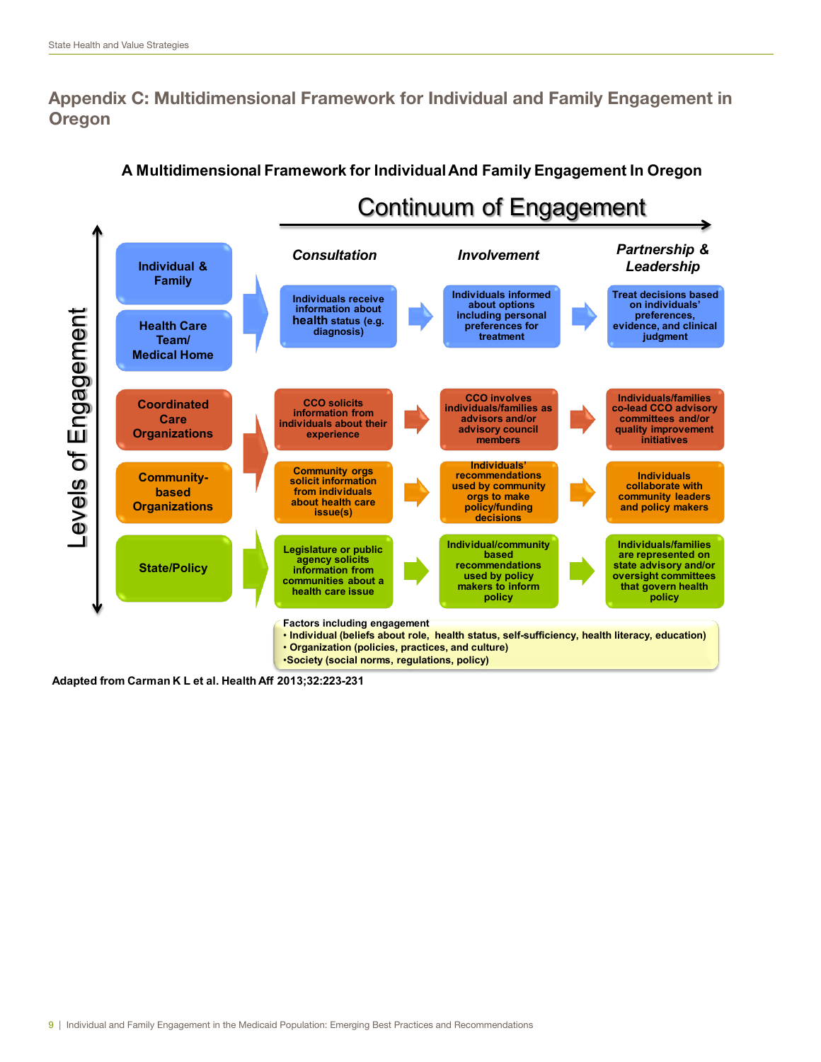# Appendix C: Multidimensional Framework for Individual and Family Engagement in **Oregon**



## **A Multidimensional Framework for Individual And Family Engagement In Oregon**

**Adapted from Carman K L et al. Health Aff 2013;32:223-231**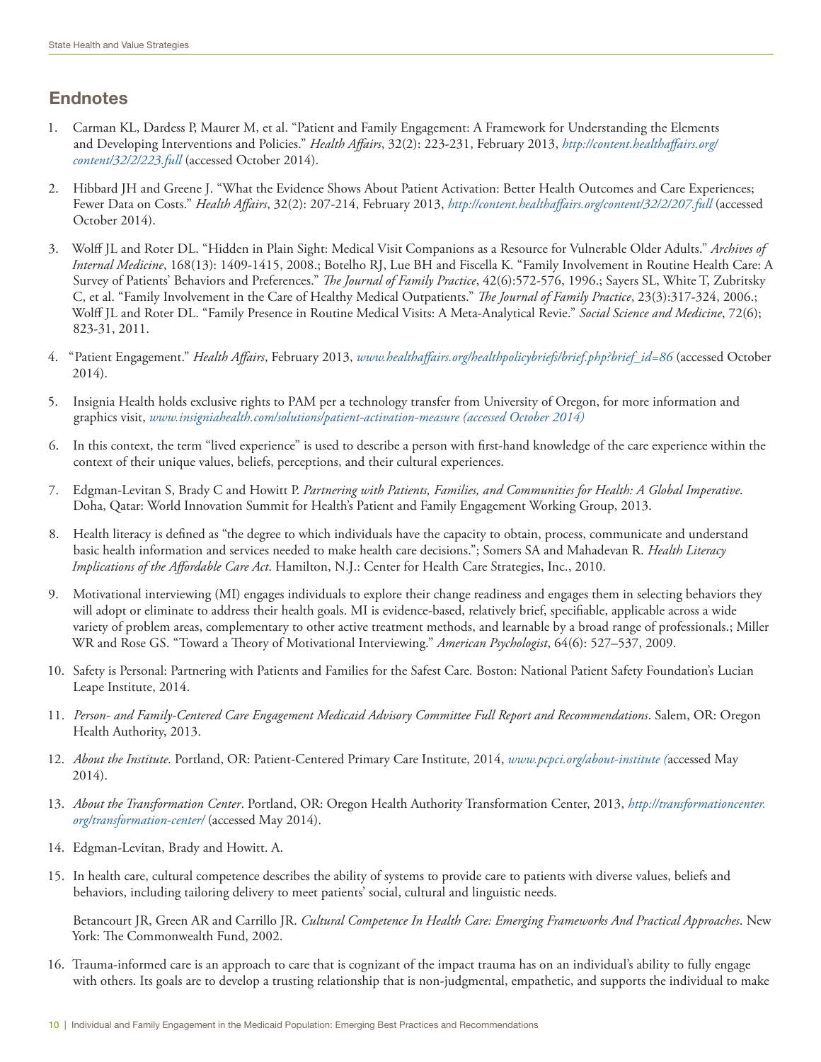## Endnotes

- 1. Carman KL, Dardess P, Maurer M, et al. "Patient and Family Engagement: A Framework for Understanding the Elements and Developing Interventions and Policies." *Health Affairs*, 32(2): 223-231, February 2013, *[http://content.healthaffairs.org/](http://content.healthaffairs.org/content/32/2/223.full) [content/32/2/223.full](http://content.healthaffairs.org/content/32/2/223.full)* (accessed October 2014).
- 2. Hibbard JH and Greene J. "What the Evidence Shows About Patient Activation: Better Health Outcomes and Care Experiences; Fewer Data on Costs." *Health Affairs*, 32(2): 207-214, February 2013, *<http://content.healthaffairs.org/content/32/2/207.full>* (accessed October 2014).
- 3. Wolff JL and Roter DL. "Hidden in Plain Sight: Medical Visit Companions as a Resource for Vulnerable Older Adults." *Archives of Internal Medicine*, 168(13): 1409-1415, 2008.; Botelho RJ, Lue BH and Fiscella K. "Family Involvement in Routine Health Care: A Survey of Patients' Behaviors and Preferences." *The Journal of Family Practice*, 42(6):572-576, 1996.; Sayers SL, White T, Zubritsky C, et al. "Family Involvement in the Care of Healthy Medical Outpatients." *The Journal of Family Practice*, 23(3):317-324, 2006.; Wolff JL and Roter DL. "Family Presence in Routine Medical Visits: A Meta-Analytical Revie." *Social Science and Medicine*, 72(6); 823-31, 2011.
- 4. " Patient Engagement." *Health Affairs*, February 2013, *[www.healthaffairs.org/healthpolicybriefs/brief.php?brief\\_id=86](http://www.healthaffairs.org/healthpolicybriefs/brief.php?brief_id=86)* (accessed October 2014).
- 5. Insignia Health holds exclusive rights to PAM per a technology transfer from University of Oregon, for more information and graphics visit, *[www.insigniahealth.com/solutions/patient-activation-measure](http://www.insigniahealth.com/solutions/patient-activation-measure) (accessed October 2014)*
- 6. In this context, the term "lived experience" is used to describe a person with first-hand knowledge of the care experience within the context of their unique values, beliefs, perceptions, and their cultural experiences.
- 7. Edgman-Levitan S, Brady C and Howitt P. *Partnering with Patients, Families, and Communities for Health: A Global Imperative*. Doha, Qatar: World Innovation Summit for Health's Patient and Family Engagement Working Group, 2013.
- 8. Health literacy is defined as "the degree to which individuals have the capacity to obtain, process, communicate and understand basic health information and services needed to make health care decisions."; Somers SA and Mahadevan R. *Health Literacy Implications of the Affordable Care Act*. Hamilton, N.J.: Center for Health Care Strategies, Inc., 2010.
- 9. Motivational interviewing (MI) engages individuals to explore their change readiness and engages them in selecting behaviors they will adopt or eliminate to address their health goals. MI is evidence-based, relatively brief, specifiable, applicable across a wide variety of problem areas, complementary to other active treatment methods, and learnable by a broad range of professionals.; Miller WR and Rose GS. "Toward a Theory of Motivational Interviewing." *American Psychologist*, 64(6): 527–537, 2009.
- 10. Safety is Personal: Partnering with Patients and Families for the Safest Care*.* Boston: National Patient Safety Foundation's Lucian Leape Institute, 2014.
- 11. *Person- and Family-Centered Care Engagement Medicaid Advisory Committee Full Report and Recommendations*. Salem, OR: Oregon Health Authority, 2013.
- 12. *About the Institute*. Portland, OR: Patient-Centered Primary Care Institute, 2014, *[www.pcpci.org/about-institute](http://www.pcpci.org/about-institute) (*accessed May 2014).
- 13. *About the Transformation Center*. Portland, OR: Oregon Health Authority Transformation Center, 2013, *[http://transformationcenter.](http://transformationcenter.org/transformation-center/) [org/transformation-center/](http://transformationcenter.org/transformation-center/)* (accessed May 2014).
- 14. Edgman-Levitan, Brady and Howitt. A.
- 15. In health care, cultural competence describes the ability of systems to provide care to patients with diverse values, beliefs and behaviors, including tailoring delivery to meet patients' social, cultural and linguistic needs.

Betancourt JR, Green AR and Carrillo JR. *Cultural Competence In Health Care: Emerging Frameworks And Practical Approaches*. New York: The Commonwealth Fund, 2002.

16. Trauma-informed care is an approach to care that is cognizant of the impact trauma has on an individual's ability to fully engage with others. Its goals are to develop a trusting relationship that is non-judgmental, empathetic, and supports the individual to make